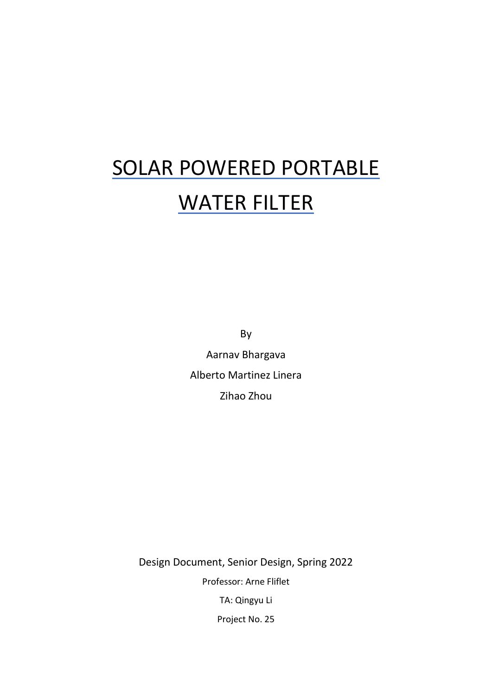# SOLAR POWERED PORTABLE WATER FILTER

By Aarnav Bhargava Alberto Martinez Linera Zihao Zhou

Design Document, Senior Design, Spring 2022 Professor: Arne Fliflet TA: Qingyu Li Project No. 25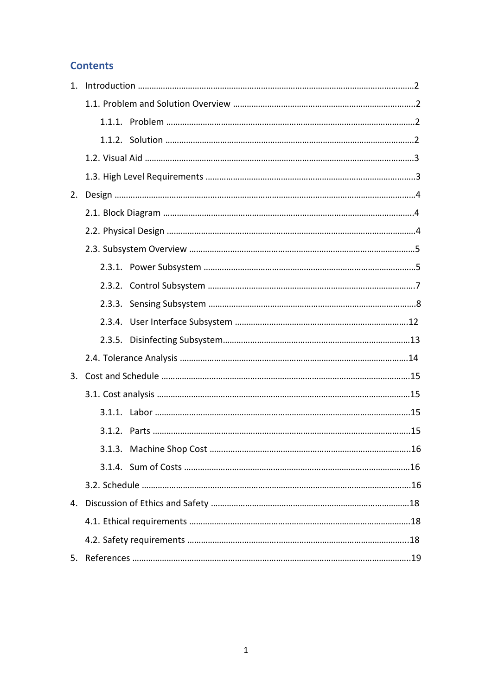# **Contents**

| 1 <sup>1</sup> |  |  |
|----------------|--|--|
|                |  |  |
|                |  |  |
|                |  |  |
|                |  |  |
|                |  |  |
| 2.             |  |  |
|                |  |  |
|                |  |  |
|                |  |  |
|                |  |  |
|                |  |  |
|                |  |  |
|                |  |  |
|                |  |  |
|                |  |  |
|                |  |  |
|                |  |  |
|                |  |  |
|                |  |  |
|                |  |  |
|                |  |  |
|                |  |  |
|                |  |  |
|                |  |  |
|                |  |  |
|                |  |  |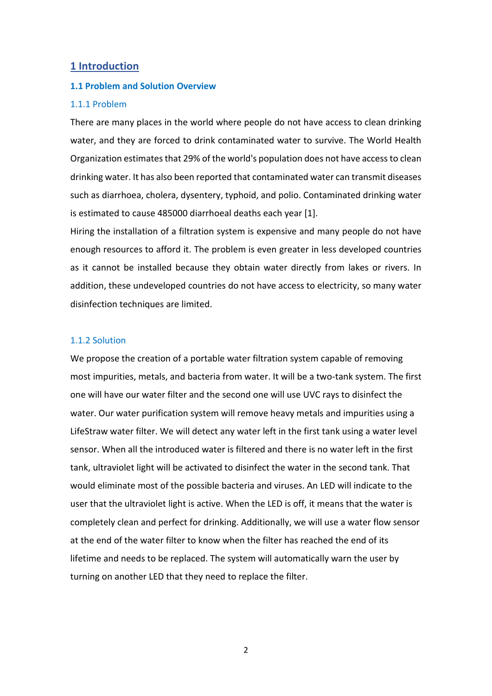#### **1 Introduction**

#### **1.1 Problem and Solution Overview**

#### 1.1.1 Problem

There are many places in the world where people do not have access to clean drinking water, and they are forced to drink contaminated water to survive. The World Health Organization estimates that 29% of the world's population does not have access to clean drinking water. It has also been reported that contaminated water can transmit diseases such as diarrhoea, cholera, dysentery, typhoid, and polio. Contaminated drinking water is estimated to cause 485000 diarrhoeal deaths each year [1].

Hiring the installation of a filtration system is expensive and many people do not have enough resources to afford it. The problem is even greater in less developed countries as it cannot be installed because they obtain water directly from lakes or rivers. In addition, these undeveloped countries do not have access to electricity, so many water disinfection techniques are limited.

#### 1.1.2 Solution

We propose the creation of a portable water filtration system capable of removing most impurities, metals, and bacteria from water. It will be a two-tank system. The first one will have our water filter and the second one will use UVC rays to disinfect the water. Our water purification system will remove heavy metals and impurities using a LifeStraw water filter. We will detect any water left in the first tank using a water level sensor. When all the introduced water is filtered and there is no water left in the first tank, ultraviolet light will be activated to disinfect the water in the second tank. That would eliminate most of the possible bacteria and viruses. An LED will indicate to the user that the ultraviolet light is active. When the LED is off, it means that the water is completely clean and perfect for drinking. Additionally, we will use a water flow sensor at the end of the water filter to know when the filter has reached the end of its lifetime and needs to be replaced. The system will automatically warn the user by turning on another LED that they need to replace the filter.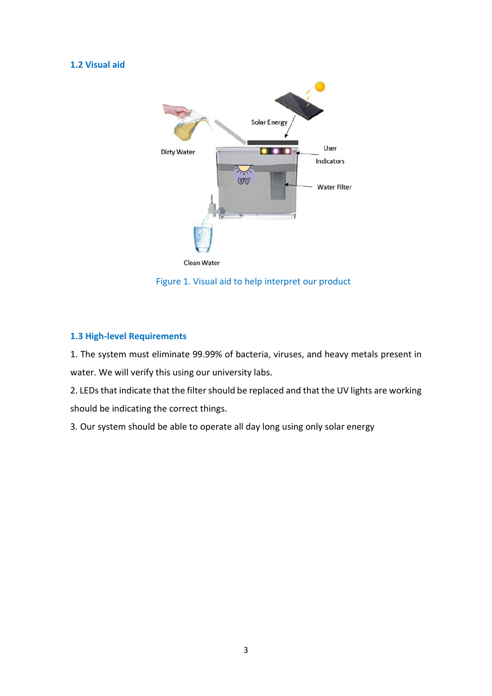## **1.2 Visual aid**



Figure 1. Visual aid to help interpret our product

## **1.3 High-level Requirements**

1. The system must eliminate 99.99% of bacteria, viruses, and heavy metals present in water. We will verify this using our university labs.

2. LEDs that indicate that the filter should be replaced and that the UV lights are working should be indicating the correct things.

3. Our system should be able to operate all day long using only solar energy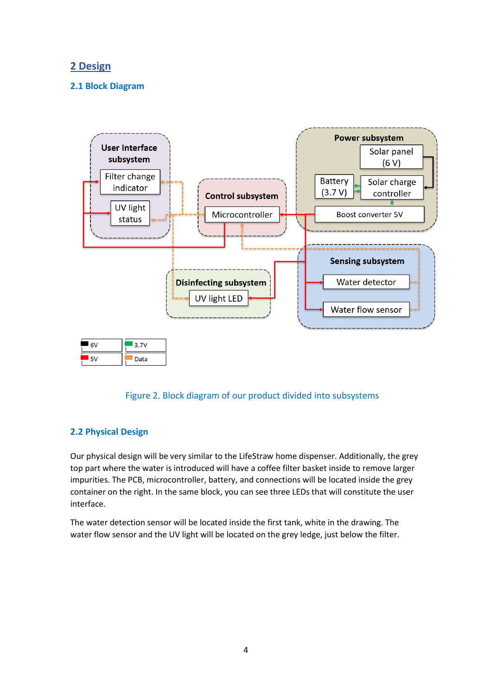# **2 Design**

## **2.1 Block Diagram**





# **2.2 Physical Design**

Our physical design will be very similar to the LifeStraw home dispenser. Additionally, the grey top part where the water is introduced will have a coffee filter basket inside to remove larger impurities. The PCB, microcontroller, battery, and connections will be located inside the grey container on the right. In the same block, you can see three LEDs that will constitute the user interface.

The water detection sensor will be located inside the first tank, white in the drawing. The water flow sensor and the UV light will be located on the grey ledge, just below the filter.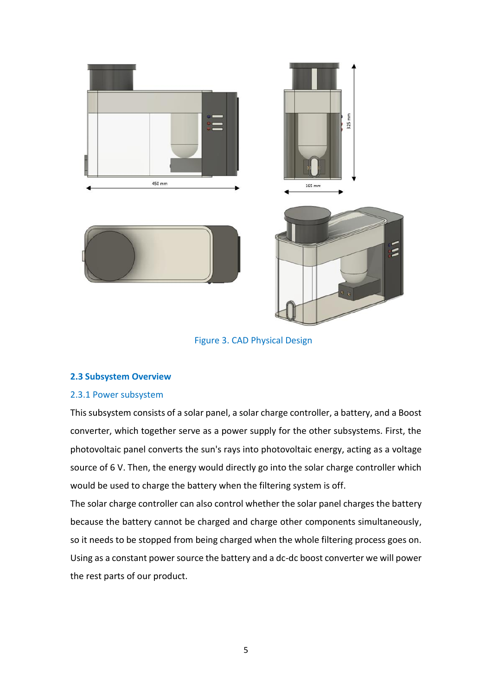

Figure 3. CAD Physical Design

#### **2.3 Subsystem Overview**

#### 2.3.1 Power subsystem

This subsystem consists of a solar panel, a solar charge controller, a battery, and a Boost converter, which together serve as a power supply for the other subsystems. First, the photovoltaic panel converts the sun's rays into photovoltaic energy, acting as a voltage source of 6 V. Then, the energy would directly go into the solar charge controller which would be used to charge the battery when the filtering system is off.

The solar charge controller can also control whether the solar panel charges the battery because the battery cannot be charged and charge other components simultaneously, so it needs to be stopped from being charged when the whole filtering process goes on. Using as a constant power source the battery and a dc-dc boost converter we will power the rest parts of our product.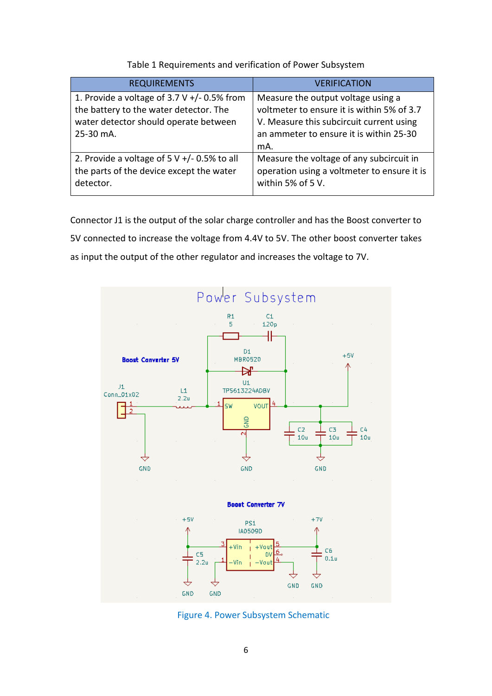| <b>REQUIREMENTS</b>                                                                                                                           | <b>VERIFICATION</b>                                                                                                                                                            |
|-----------------------------------------------------------------------------------------------------------------------------------------------|--------------------------------------------------------------------------------------------------------------------------------------------------------------------------------|
| 1. Provide a voltage of $3.7 V +/- 0.5%$ from<br>the battery to the water detector. The<br>water detector should operate between<br>25-30 mA. | Measure the output voltage using a<br>voltmeter to ensure it is within 5% of 3.7<br>V. Measure this subcircuit current using<br>an ammeter to ensure it is within 25-30<br>mA. |
| 2. Provide a voltage of $5 \text{ V} +/- 0.5\%$ to all<br>the parts of the device except the water<br>detector.                               | Measure the voltage of any subcircuit in<br>operation using a voltmeter to ensure it is<br>within 5% of 5 V.                                                                   |

Table 1 Requirements and verification of Power Subsystem

Connector J1 is the output of the solar charge controller and has the Boost converter to 5V connected to increase the voltage from 4.4V to 5V. The other boost converter takes as input the output of the other regulator and increases the voltage to 7V.



Figure 4. Power Subsystem Schematic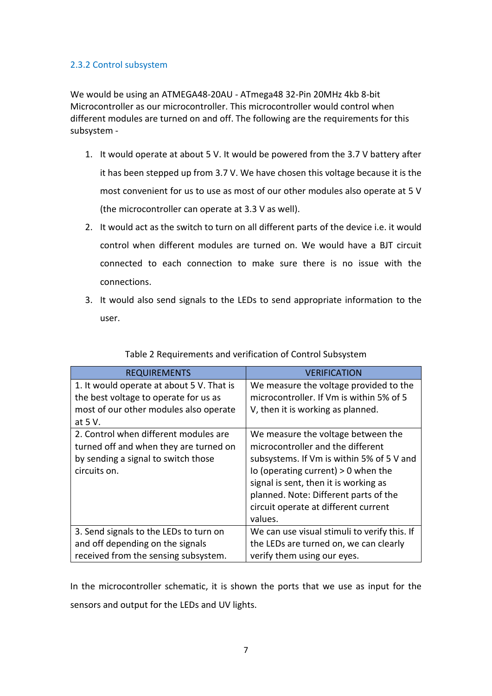## 2.3.2 Control subsystem

We would be using an ATMEGA48-20AU - ATmega48 32-Pin 20MHz 4kb 8-bit Microcontroller as our microcontroller. This microcontroller would control when different modules are turned on and off. The following are the requirements for this subsystem -

- 1. It would operate at about 5 V. It would be powered from the 3.7 V battery after it has been stepped up from 3.7 V. We have chosen this voltage because it is the most convenient for us to use as most of our other modules also operate at 5 V (the microcontroller can operate at 3.3 V as well).
- 2. It would act as the switch to turn on all different parts of the device i.e. it would control when different modules are turned on. We would have a BJT circuit connected to each connection to make sure there is no issue with the connections.
- 3. It would also send signals to the LEDs to send appropriate information to the user.

| <b>REQUIREMENTS</b>                       | <b>VERIFICATION</b>                          |  |
|-------------------------------------------|----------------------------------------------|--|
| 1. It would operate at about 5 V. That is | We measure the voltage provided to the       |  |
| the best voltage to operate for us as     | microcontroller. If Vm is within 5% of 5     |  |
| most of our other modules also operate    | V, then it is working as planned.            |  |
| at 5 V.                                   |                                              |  |
| 2. Control when different modules are     | We measure the voltage between the           |  |
| turned off and when they are turned on    | microcontroller and the different            |  |
| by sending a signal to switch those       | subsystems. If Vm is within 5% of 5 V and    |  |
| circuits on.                              | Io (operating current) $> 0$ when the        |  |
|                                           | signal is sent, then it is working as        |  |
|                                           | planned. Note: Different parts of the        |  |
|                                           | circuit operate at different current         |  |
|                                           | values.                                      |  |
| 3. Send signals to the LEDs to turn on    | We can use visual stimuli to verify this. If |  |
| and off depending on the signals          | the LEDs are turned on, we can clearly       |  |
| received from the sensing subsystem.      | verify them using our eyes.                  |  |

Table 2 Requirements and verification of Control Subsystem

In the microcontroller schematic, it is shown the ports that we use as input for the sensors and output for the LEDs and UV lights.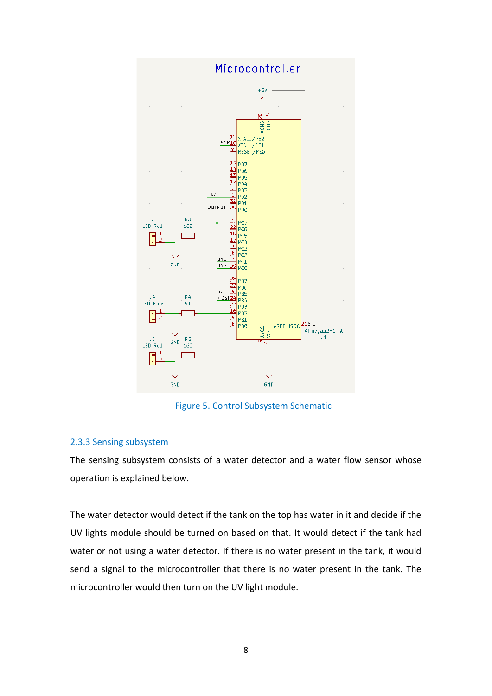

Figure 5. Control Subsystem Schematic

## 2.3.3 Sensing subsystem

The sensing subsystem consists of a water detector and a water flow sensor whose operation is explained below.

The water detector would detect if the tank on the top has water in it and decide if the UV lights module should be turned on based on that. It would detect if the tank had water or not using a water detector. If there is no water present in the tank, it would send a signal to the microcontroller that there is no water present in the tank. The microcontroller would then turn on the UV light module.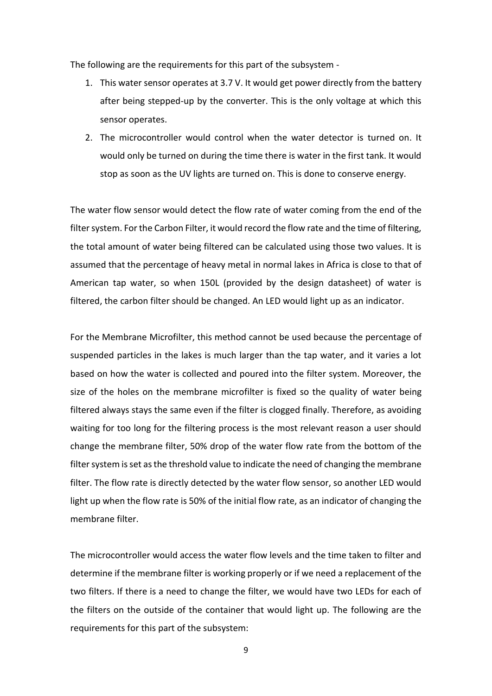The following are the requirements for this part of the subsystem -

- 1. This water sensor operates at 3.7 V. It would get power directly from the battery after being stepped-up by the converter. This is the only voltage at which this sensor operates.
- 2. The microcontroller would control when the water detector is turned on. It would only be turned on during the time there is water in the first tank. It would stop as soon as the UV lights are turned on. This is done to conserve energy.

The water flow sensor would detect the flow rate of water coming from the end of the filter system. For the Carbon Filter, it would record the flow rate and the time of filtering, the total amount of water being filtered can be calculated using those two values. It is assumed that the percentage of heavy metal in normal lakes in Africa is close to that of American tap water, so when 150L (provided by the design datasheet) of water is filtered, the carbon filter should be changed. An LED would light up as an indicator.

For the Membrane Microfilter, this method cannot be used because the percentage of suspended particles in the lakes is much larger than the tap water, and it varies a lot based on how the water is collected and poured into the filter system. Moreover, the size of the holes on the membrane microfilter is fixed so the quality of water being filtered always stays the same even if the filter is clogged finally. Therefore, as avoiding waiting for too long for the filtering process is the most relevant reason a user should change the membrane filter, 50% drop of the water flow rate from the bottom of the filter system is set as the threshold value to indicate the need of changing the membrane filter. The flow rate is directly detected by the water flow sensor, so another LED would light up when the flow rate is 50% of the initial flow rate, as an indicator of changing the membrane filter.

The microcontroller would access the water flow levels and the time taken to filter and determine if the membrane filter is working properly or if we need a replacement of the two filters. If there is a need to change the filter, we would have two LEDs for each of the filters on the outside of the container that would light up. The following are the requirements for this part of the subsystem: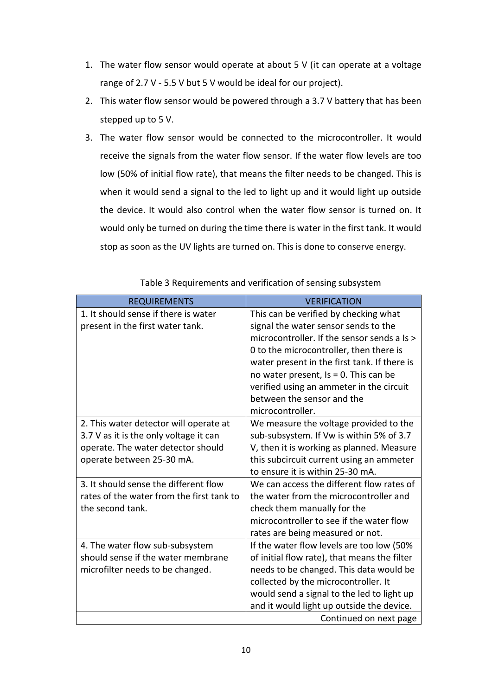- 1. The water flow sensor would operate at about 5 V (it can operate at a voltage range of 2.7 V - 5.5 V but 5 V would be ideal for our project).
- 2. This water flow sensor would be powered through a 3.7 V battery that has been stepped up to 5 V.
- 3. The water flow sensor would be connected to the microcontroller. It would receive the signals from the water flow sensor. If the water flow levels are too low (50% of initial flow rate), that means the filter needs to be changed. This is when it would send a signal to the led to light up and it would light up outside the device. It would also control when the water flow sensor is turned on. It would only be turned on during the time there is water in the first tank. It would stop as soon as the UV lights are turned on. This is done to conserve energy.

| <b>REQUIREMENTS</b>                       | <b>VERIFICATION</b>                          |
|-------------------------------------------|----------------------------------------------|
| 1. It should sense if there is water      | This can be verified by checking what        |
| present in the first water tank.          | signal the water sensor sends to the         |
|                                           | microcontroller. If the sensor sends a Is >  |
|                                           | 0 to the microcontroller, then there is      |
|                                           | water present in the first tank. If there is |
|                                           | no water present, $Is = 0$ . This can be     |
|                                           | verified using an ammeter in the circuit     |
|                                           | between the sensor and the                   |
|                                           | microcontroller.                             |
| 2. This water detector will operate at    | We measure the voltage provided to the       |
| 3.7 V as it is the only voltage it can    | sub-subsystem. If Vw is within 5% of 3.7     |
| operate. The water detector should        | V, then it is working as planned. Measure    |
| operate between 25-30 mA.                 | this subcircuit current using an ammeter     |
|                                           | to ensure it is within 25-30 mA.             |
| 3. It should sense the different flow     | We can access the different flow rates of    |
| rates of the water from the first tank to | the water from the microcontroller and       |
| the second tank.                          | check them manually for the                  |
|                                           | microcontroller to see if the water flow     |
|                                           | rates are being measured or not.             |
| 4. The water flow sub-subsystem           | If the water flow levels are too low (50%    |
| should sense if the water membrane        | of initial flow rate), that means the filter |
| microfilter needs to be changed.          | needs to be changed. This data would be      |
|                                           | collected by the microcontroller. It         |
|                                           | would send a signal to the led to light up   |
|                                           | and it would light up outside the device.    |
|                                           | Continued on next page                       |

Table 3 Requirements and verification of sensing subsystem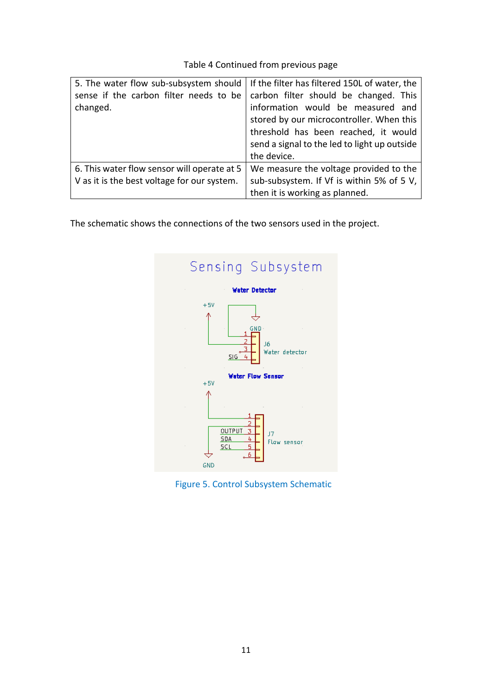# Table 4 Continued from previous page

| 5. The water flow sub-subsystem should<br>sense if the carbon filter needs to be<br>changed. | If the filter has filtered 150L of water, the<br>carbon filter should be changed. This<br>information would be measured and<br>stored by our microcontroller. When this<br>threshold has been reached, it would<br>send a signal to the led to light up outside<br>the device. |
|----------------------------------------------------------------------------------------------|--------------------------------------------------------------------------------------------------------------------------------------------------------------------------------------------------------------------------------------------------------------------------------|
| 6. This water flow sensor will operate at 5<br>V as it is the best voltage for our system.   | We measure the voltage provided to the<br>sub-subsystem. If Vf is within 5% of 5 V,<br>then it is working as planned.                                                                                                                                                          |

The schematic shows the connections of the two sensors used in the project.



Figure 5. Control Subsystem Schematic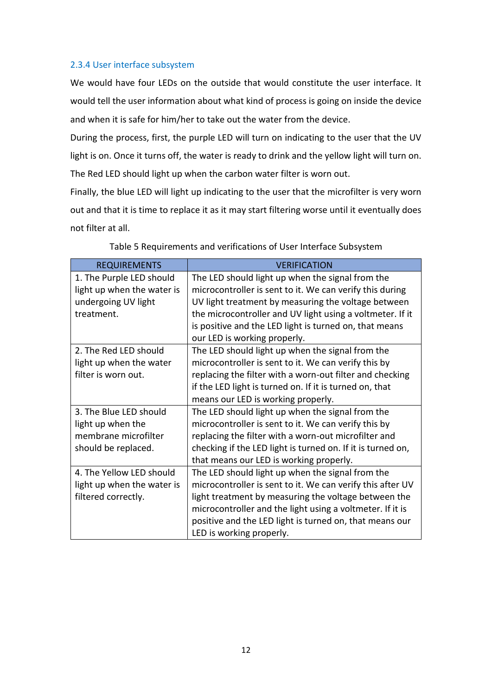#### 2.3.4 User interface subsystem

We would have four LEDs on the outside that would constitute the user interface. It would tell the user information about what kind of process is going on inside the device and when it is safe for him/her to take out the water from the device.

During the process, first, the purple LED will turn on indicating to the user that the UV light is on. Once it turns off, the water is ready to drink and the yellow light will turn on. The Red LED should light up when the carbon water filter is worn out.

Finally, the blue LED will light up indicating to the user that the microfilter is very worn out and that it is time to replace it as it may start filtering worse until it eventually does not filter at all.

| <b>REQUIREMENTS</b>        | <b>VERIFICATION</b>                                         |  |  |
|----------------------------|-------------------------------------------------------------|--|--|
| 1. The Purple LED should   | The LED should light up when the signal from the            |  |  |
| light up when the water is | microcontroller is sent to it. We can verify this during    |  |  |
| undergoing UV light        | UV light treatment by measuring the voltage between         |  |  |
| treatment.                 | the microcontroller and UV light using a voltmeter. If it   |  |  |
|                            | is positive and the LED light is turned on, that means      |  |  |
|                            | our LED is working properly.                                |  |  |
| 2. The Red LED should      | The LED should light up when the signal from the            |  |  |
| light up when the water    | microcontroller is sent to it. We can verify this by        |  |  |
| filter is worn out.        | replacing the filter with a worn-out filter and checking    |  |  |
|                            | if the LED light is turned on. If it is turned on, that     |  |  |
|                            | means our LED is working properly.                          |  |  |
| 3. The Blue LED should     | The LED should light up when the signal from the            |  |  |
| light up when the          | microcontroller is sent to it. We can verify this by        |  |  |
| membrane microfilter       | replacing the filter with a worn-out microfilter and        |  |  |
| should be replaced.        | checking if the LED light is turned on. If it is turned on, |  |  |
|                            | that means our LED is working properly.                     |  |  |
| 4. The Yellow LED should   | The LED should light up when the signal from the            |  |  |
| light up when the water is | microcontroller is sent to it. We can verify this after UV  |  |  |
| filtered correctly.        | light treatment by measuring the voltage between the        |  |  |
|                            | microcontroller and the light using a voltmeter. If it is   |  |  |
|                            | positive and the LED light is turned on, that means our     |  |  |
|                            | LED is working properly.                                    |  |  |

Table 5 Requirements and verifications of User Interface Subsystem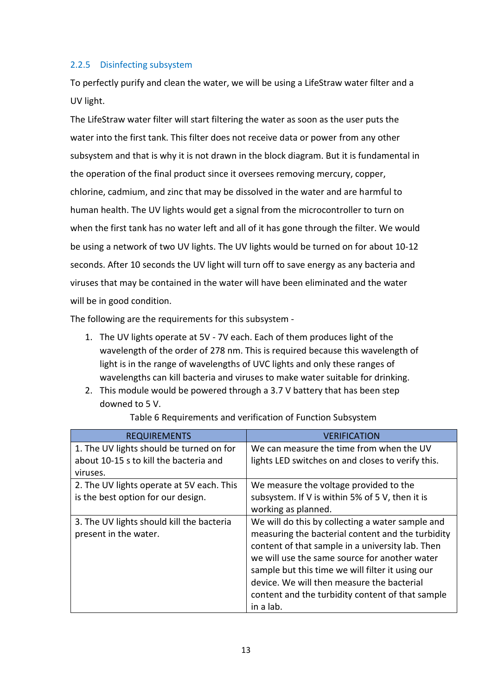## 2.2.5 Disinfecting subsystem

To perfectly purify and clean the water, we will be using a LifeStraw water filter and a UV light.

The LifeStraw water filter will start filtering the water as soon as the user puts the water into the first tank. This filter does not receive data or power from any other subsystem and that is why it is not drawn in the block diagram. But it is fundamental in the operation of the final product since it oversees removing mercury, copper, chlorine, cadmium, and zinc that may be dissolved in the water and are harmful to human health. The UV lights would get a signal from the microcontroller to turn on when the first tank has no water left and all of it has gone through the filter. We would be using a network of two UV lights. The UV lights would be turned on for about 10-12 seconds. After 10 seconds the UV light will turn off to save energy as any bacteria and viruses that may be contained in the water will have been eliminated and the water will be in good condition.

The following are the requirements for this subsystem -

- 1. The UV lights operate at 5V 7V each. Each of them produces light of the wavelength of the order of 278 nm. This is required because this wavelength of light is in the range of wavelengths of UVC lights and only these ranges of wavelengths can kill bacteria and viruses to make water suitable for drinking.
- 2. This module would be powered through a 3.7 V battery that has been step downed to 5 V.

| <b>REQUIREMENTS</b>                                                                | <b>VERIFICATION</b>                                                                                                                                                                                                                                                                                                                                                           |
|------------------------------------------------------------------------------------|-------------------------------------------------------------------------------------------------------------------------------------------------------------------------------------------------------------------------------------------------------------------------------------------------------------------------------------------------------------------------------|
| 1. The UV lights should be turned on for<br>about 10-15 s to kill the bacteria and | We can measure the time from when the UV<br>lights LED switches on and closes to verify this.                                                                                                                                                                                                                                                                                 |
| viruses.                                                                           |                                                                                                                                                                                                                                                                                                                                                                               |
| 2. The UV lights operate at 5V each. This<br>is the best option for our design.    | We measure the voltage provided to the<br>subsystem. If V is within 5% of 5 V, then it is<br>working as planned.                                                                                                                                                                                                                                                              |
| 3. The UV lights should kill the bacteria<br>present in the water.                 | We will do this by collecting a water sample and<br>measuring the bacterial content and the turbidity<br>content of that sample in a university lab. Then<br>we will use the same source for another water<br>sample but this time we will filter it using our<br>device. We will then measure the bacterial<br>content and the turbidity content of that sample<br>in a lab. |

Table 6 Requirements and verification of Function Subsystem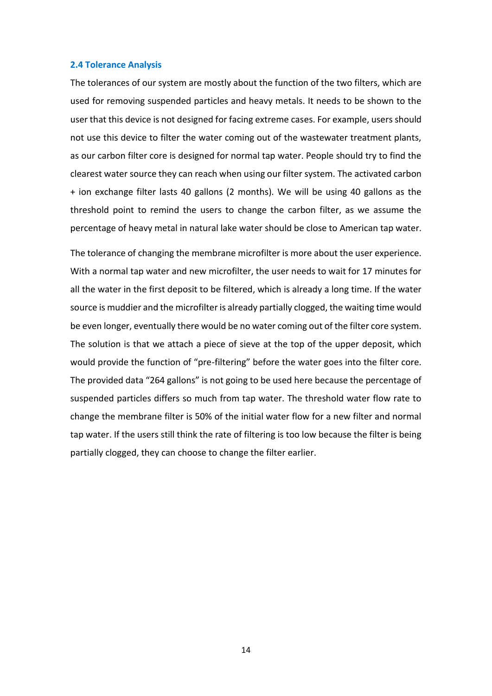#### **2.4 Tolerance Analysis**

The tolerances of our system are mostly about the function of the two filters, which are used for removing suspended particles and heavy metals. It needs to be shown to the user that this device is not designed for facing extreme cases. For example, users should not use this device to filter the water coming out of the wastewater treatment plants, as our carbon filter core is designed for normal tap water. People should try to find the clearest water source they can reach when using our filter system. The activated carbon + ion exchange filter lasts 40 gallons (2 months). We will be using 40 gallons as the threshold point to remind the users to change the carbon filter, as we assume the percentage of heavy metal in natural lake water should be close to American tap water.

The tolerance of changing the membrane microfilter is more about the user experience. With a normal tap water and new microfilter, the user needs to wait for 17 minutes for all the water in the first deposit to be filtered, which is already a long time. If the water source is muddier and the microfilter is already partially clogged, the waiting time would be even longer, eventually there would be no water coming out of the filter core system. The solution is that we attach a piece of sieve at the top of the upper deposit, which would provide the function of "pre-filtering" before the water goes into the filter core. The provided data "264 gallons" is not going to be used here because the percentage of suspended particles differs so much from tap water. The threshold water flow rate to change the membrane filter is 50% of the initial water flow for a new filter and normal tap water. If the users still think the rate of filtering is too low because the filter is being partially clogged, they can choose to change the filter earlier.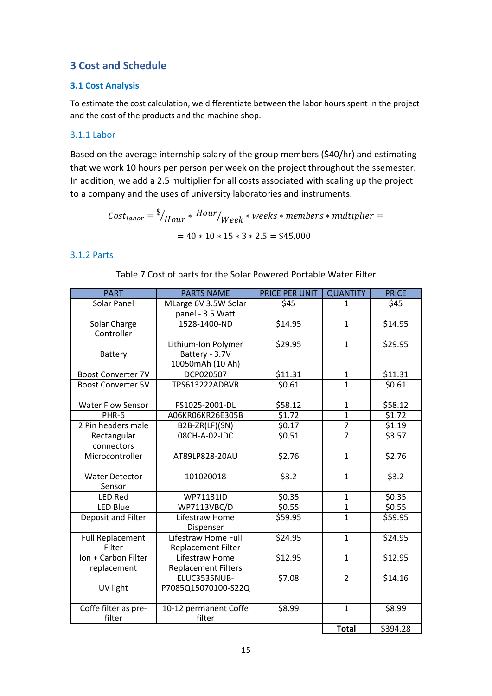# **3 Cost and Schedule**

#### **3.1 Cost Analysis**

To estimate the cost calculation, we differentiate between the labor hours spent in the project and the cost of the products and the machine shop.

## 3.1.1 Labor

Based on the average internship salary of the group members (\$40/hr) and estimating that we work 10 hours per person per week on the project throughout the ssemester. In addition, we add a 2.5 multiplier for all costs associated with scaling up the project to a company and the uses of university laboratories and instruments.

> $\mathit{Cost}_{labor} = \frac{\$}{Hour} * \mathit{Hour}/Week*weeks*members*multiplier =$  $= 40 * 10 * 15 * 3 * 2.5 = $45,000$

#### 3.1.2 Parts

Table 7 Cost of parts for the Solar Powered Portable Water Filter

| <b>PART</b>                        | <b>PARTS NAME</b>                                         | PRICE PER UNIT    | <b>QUANTITY</b> | <b>PRICE</b>      |
|------------------------------------|-----------------------------------------------------------|-------------------|-----------------|-------------------|
| Solar Panel                        | MLarge 6V 3.5W Solar<br>panel - 3.5 Watt                  | \$45              | 1               | \$45              |
| Solar Charge<br>Controller         | 1528-1400-ND                                              | \$14.95           | $\mathbf{1}$    | \$14.95           |
| Battery                            | Lithium-Ion Polymer<br>Battery - 3.7V<br>10050mAh (10 Ah) | \$29.95           | $\mathbf{1}$    | \$29.95           |
| <b>Boost Converter 7V</b>          | DCP020507                                                 | \$11.31           | $\mathbf{1}$    | \$11.31           |
| <b>Boost Converter 5V</b>          | <b>TPS613222ADBVR</b>                                     | \$0.61            | $\mathbf{1}$    | \$0.61            |
| <b>Water Flow Sensor</b>           | FS1025-2001-DL                                            | \$58.12           | $\mathbf{1}$    | \$58.12           |
| PHR-6                              | A06KR06KR26E305B                                          | $\frac{1}{51.72}$ | $\mathbf{1}$    | $\frac{1}{51.72}$ |
| 2 Pin headers male                 | B2B-ZR(LF)(SN)                                            | \$0.17            | $\overline{7}$  | \$1.19            |
| Rectangular<br>connectors          | 08CH-A-02-IDC                                             | \$0.51            | $\overline{7}$  | \$3.57            |
| Microcontroller                    | AT89LP828-20AU                                            | \$2.76            | $\mathbf{1}$    | \$2.76            |
| <b>Water Detector</b><br>Sensor    | 101020018                                                 | 53.2              | $\mathbf{1}$    | 53.2              |
| <b>LED Red</b>                     | WP71131ID                                                 | \$0.35            | $\mathbf{1}$    | \$0.35            |
| LED Blue                           | WP7113VBC/D                                               | \$0.55            | $\mathbf{1}$    | \$0.55            |
| Deposit and Filter                 | Lifestraw Home<br>Dispenser                               | \$59.95           | $\mathbf{1}$    | \$59.95           |
| <b>Full Replacement</b><br>Filter  | Lifestraw Home Full<br><b>Replacement Filter</b>          | \$24.95           | $\mathbf{1}$    | \$24.95           |
| Ion + Carbon Filter<br>replacement | Lifestraw Home<br><b>Replacement Filters</b>              | \$12.95           | $\mathbf{1}$    | \$12.95           |
| UV light                           | ELUC3535NUB-<br>P7085Q15070100-S22Q                       | \$7.08            | $\overline{2}$  | \$14.16           |
| Coffe filter as pre-<br>filter     | 10-12 permanent Coffe<br>filter                           | \$8.99            | $\mathbf{1}$    | \$8.99            |
|                                    |                                                           |                   | <b>Total</b>    | \$394.28          |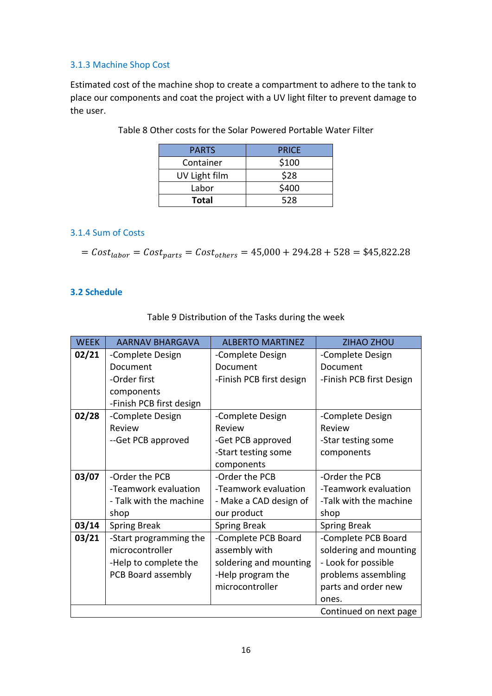## 3.1.3 Machine Shop Cost

Estimated cost of the machine shop to create a compartment to adhere to the tank to place our components and coat the project with a UV light filter to prevent damage to the user.

| <b>PARTS</b>  | <b>PRICE</b> |
|---------------|--------------|
| Container     | \$100        |
| UV Light film | \$28         |
| Labor         | \$400        |
| Total         | 528          |

Table 8 Other costs for the Solar Powered Portable Water Filter

## 3.1.4 Sum of Costs

$$
= Costlabor = Costparts = Costothers = 45,000 + 294.28 + 528 = $45,822.28
$$

#### **3.2 Schedule**

| <b>WEEK</b>             | AARNAV BHARGAVA          | <b>ALBERTO MARTINEZ</b>  | <b>ZIHAO ZHOU</b>        |
|-------------------------|--------------------------|--------------------------|--------------------------|
| 02/21                   | -Complete Design         | -Complete Design         | -Complete Design         |
|                         | Document                 | Document                 | Document                 |
|                         | -Order first             | -Finish PCB first design | -Finish PCB first Design |
|                         | components               |                          |                          |
|                         | -Finish PCB first design |                          |                          |
| 02/28                   | -Complete Design         | -Complete Design         | -Complete Design         |
|                         | Review                   | Review                   | Review                   |
|                         | --Get PCB approved       | -Get PCB approved        | -Star testing some       |
|                         |                          | -Start testing some      | components               |
|                         |                          | components               |                          |
| 03/07                   | -Order the PCB           | -Order the PCB           | -Order the PCB           |
|                         | -Teamwork evaluation     | -Teamwork evaluation     | -Teamwork evaluation     |
| - Talk with the machine |                          | - Make a CAD design of   | -Talk with the machine   |
|                         | shop                     | our product              | shop                     |
| 03/14                   | <b>Spring Break</b>      | <b>Spring Break</b>      | <b>Spring Break</b>      |
| 03/21                   | -Start programming the   | -Complete PCB Board      | -Complete PCB Board      |
|                         | microcontroller          | assembly with            | soldering and mounting   |
|                         | -Help to complete the    | soldering and mounting   | - Look for possible      |
|                         | PCB Board assembly       | -Help program the        | problems assembling      |
|                         |                          | microcontroller          | parts and order new      |
|                         |                          |                          | ones.                    |
|                         |                          |                          | Continued on next page   |

Table 9 Distribution of the Tasks during the week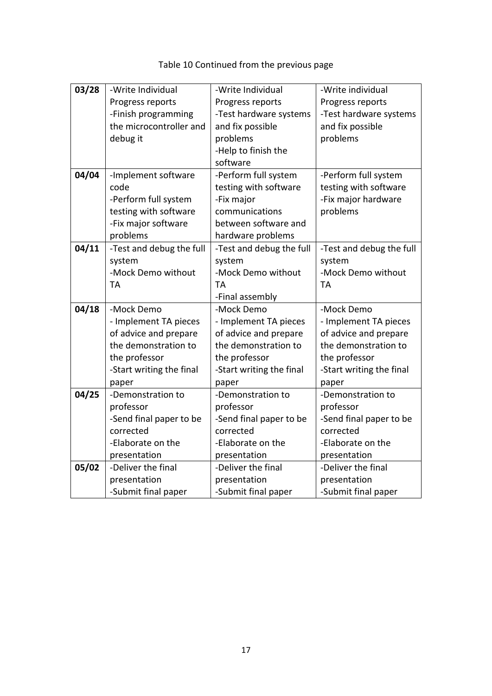| 03/28<br>-Write Individual |                          | -Write Individual        | -Write individual        |
|----------------------------|--------------------------|--------------------------|--------------------------|
|                            | Progress reports         | Progress reports         | Progress reports         |
|                            | -Finish programming      | -Test hardware systems   | -Test hardware systems   |
|                            | the microcontroller and  | and fix possible         | and fix possible         |
|                            | debug it                 | problems                 | problems                 |
|                            |                          | -Help to finish the      |                          |
|                            |                          | software                 |                          |
| 04/04                      | -Implement software      | -Perform full system     | -Perform full system     |
|                            | code                     | testing with software    | testing with software    |
|                            | -Perform full system     | -Fix major               | -Fix major hardware      |
|                            | testing with software    | communications           | problems                 |
|                            | -Fix major software      | between software and     |                          |
|                            | problems                 | hardware problems        |                          |
| 04/11                      | -Test and debug the full | -Test and debug the full | -Test and debug the full |
|                            | system                   | system                   | system                   |
|                            | -Mock Demo without       | -Mock Demo without       | -Mock Demo without       |
|                            | <b>TA</b>                | <b>TA</b>                | <b>TA</b>                |
|                            |                          | -Final assembly          |                          |
| 04/18                      | -Mock Demo               | -Mock Demo               | -Mock Demo               |
|                            | - Implement TA pieces    | - Implement TA pieces    | - Implement TA pieces    |
|                            | of advice and prepare    | of advice and prepare    | of advice and prepare    |
|                            | the demonstration to     | the demonstration to     | the demonstration to     |
|                            | the professor            | the professor            | the professor            |
|                            | -Start writing the final | -Start writing the final | -Start writing the final |
|                            | paper                    | paper                    | paper                    |
| 04/25                      | -Demonstration to        | -Demonstration to        | -Demonstration to        |
|                            | professor                | professor                | professor                |
|                            | -Send final paper to be  | -Send final paper to be  | -Send final paper to be  |
|                            | corrected                | corrected                | corrected                |
|                            | -Elaborate on the        | -Elaborate on the        | -Elaborate on the        |
|                            | presentation             | presentation             | presentation             |
| 05/02                      | -Deliver the final       | -Deliver the final       | -Deliver the final       |
|                            | presentation             | presentation             | presentation             |
|                            | -Submit final paper      | -Submit final paper      | -Submit final paper      |

# Table 10 Continued from the previous page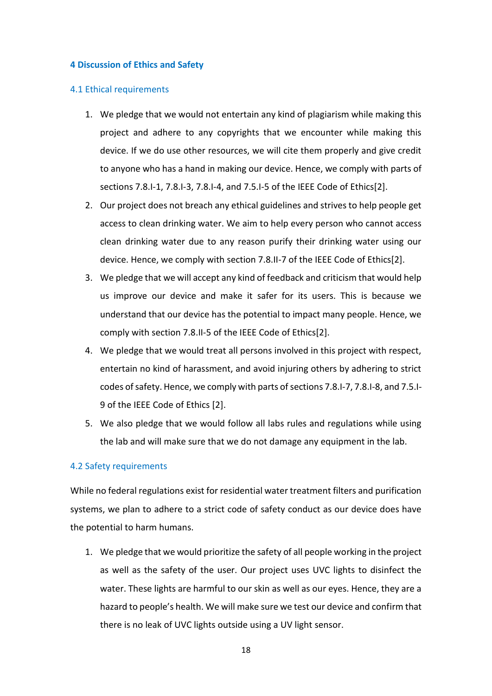#### **4 Discussion of Ethics and Safety**

#### 4.1 Ethical requirements

- 1. We pledge that we would not entertain any kind of plagiarism while making this project and adhere to any copyrights that we encounter while making this device. If we do use other resources, we will cite them properly and give credit to anyone who has a hand in making our device. Hence, we comply with parts of sections 7.8.I-1, 7.8.I-3, 7.8.I-4, and 7.5.I-5 of the IEEE Code of Ethics[2].
- 2. Our project does not breach any ethical guidelines and strives to help people get access to clean drinking water. We aim to help every person who cannot access clean drinking water due to any reason purify their drinking water using our device. Hence, we comply with section 7.8.II-7 of the IEEE Code of Ethics[2].
- 3. We pledge that we will accept any kind of feedback and criticism that would help us improve our device and make it safer for its users. This is because we understand that our device has the potential to impact many people. Hence, we comply with section 7.8.II-5 of the IEEE Code of Ethics[2].
- 4. We pledge that we would treat all persons involved in this project with respect, entertain no kind of harassment, and avoid injuring others by adhering to strict codes of safety. Hence, we comply with parts of sections 7.8.I-7, 7.8.I-8, and 7.5.I-9 of the IEEE Code of Ethics [2].
- 5. We also pledge that we would follow all labs rules and regulations while using the lab and will make sure that we do not damage any equipment in the lab.

#### 4.2 Safety requirements

While no federal regulations exist for residential water treatment filters and purification systems, we plan to adhere to a strict code of safety conduct as our device does have the potential to harm humans.

1. We pledge that we would prioritize the safety of all people working in the project as well as the safety of the user. Our project uses UVC lights to disinfect the water. These lights are harmful to our skin as well as our eyes. Hence, they are a hazard to people's health. We will make sure we test our device and confirm that there is no leak of UVC lights outside using a UV light sensor.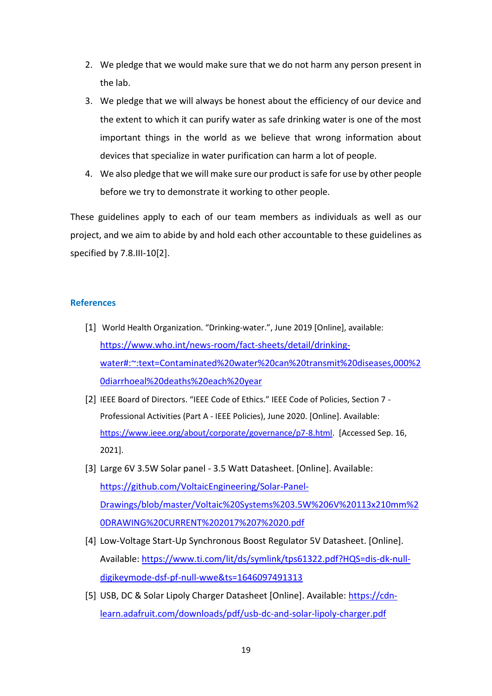- 2. We pledge that we would make sure that we do not harm any person present in the lab.
- 3. We pledge that we will always be honest about the efficiency of our device and the extent to which it can purify water as safe drinking water is one of the most important things in the world as we believe that wrong information about devices that specialize in water purification can harm a lot of people.
- 4. We also pledge that we will make sure our product is safe for use by other people before we try to demonstrate it working to other people.

These guidelines apply to each of our team members as individuals as well as our project, and we aim to abide by and hold each other accountable to these guidelines as specified by 7.8.III-10[2].

#### **References**

- [1] World Health Organization. "Drinking-water.", June 2019 [Online], available: [https://www.who.int/news-room/fact-sheets/detail/drinking](https://www.who.int/news-room/fact-sheets/detail/drinking-water#:~:text=Contaminated%20water%20can%20transmit%20diseases,000%20diarrhoeal%20deaths%20each%20year)[water#:~:text=Contaminated%20water%20can%20transmit%20diseases,000%2](https://www.who.int/news-room/fact-sheets/detail/drinking-water#:~:text=Contaminated%20water%20can%20transmit%20diseases,000%20diarrhoeal%20deaths%20each%20year) [0diarrhoeal%20deaths%20each%20year](https://www.who.int/news-room/fact-sheets/detail/drinking-water#:~:text=Contaminated%20water%20can%20transmit%20diseases,000%20diarrhoeal%20deaths%20each%20year)
- [2] IEEE Board of Directors. "IEEE Code of Ethics." IEEE Code of Policies, Section 7 Professional Activities (Part A - IEEE Policies), June 2020. [Online]. Available: [https://www.ieee.org/about/corporate/governance/p7-8.html.](https://www.ieee.org/about/corporate/governance/p7-8.html) [Accessed Sep. 16, 2021].
- [3] Large 6V 3.5W Solar panel 3.5 Watt Datasheet. [Online]. Available: [https://github.com/VoltaicEngineering/Solar-Panel-](https://github.com/VoltaicEngineering/Solar-Panel-Drawings/blob/master/Voltaic%20Systems%203.5W%206V%20113x210mm%20DRAWING%20CURRENT%202017%207%2020.pdf)[Drawings/blob/master/Voltaic%20Systems%203.5W%206V%20113x210mm%2](https://github.com/VoltaicEngineering/Solar-Panel-Drawings/blob/master/Voltaic%20Systems%203.5W%206V%20113x210mm%20DRAWING%20CURRENT%202017%207%2020.pdf) [0DRAWING%20CURRENT%202017%207%2020.pdf](https://github.com/VoltaicEngineering/Solar-Panel-Drawings/blob/master/Voltaic%20Systems%203.5W%206V%20113x210mm%20DRAWING%20CURRENT%202017%207%2020.pdf)
- [4] Low-Voltage Start-Up Synchronous Boost Regulator 5V Datasheet. [Online]. Available: [https://www.ti.com/lit/ds/symlink/tps61322.pdf?HQS=dis-dk-null](https://www.ti.com/lit/ds/symlink/tps61322.pdf?HQS=dis-dk-null-digikeymode-dsf-pf-null-wwe&ts=1646097491313)[digikeymode-dsf-pf-null-wwe&ts=1646097491313](https://www.ti.com/lit/ds/symlink/tps61322.pdf?HQS=dis-dk-null-digikeymode-dsf-pf-null-wwe&ts=1646097491313)
- [5] USB, DC & Solar Lipoly Charger Datasheet [Online]. Available: [https://cdn](https://cdn-learn.adafruit.com/downloads/pdf/usb-dc-and-solar-lipoly-charger.pdf)[learn.adafruit.com/downloads/pdf/usb-dc-and-solar-lipoly-charger.pdf](https://cdn-learn.adafruit.com/downloads/pdf/usb-dc-and-solar-lipoly-charger.pdf)